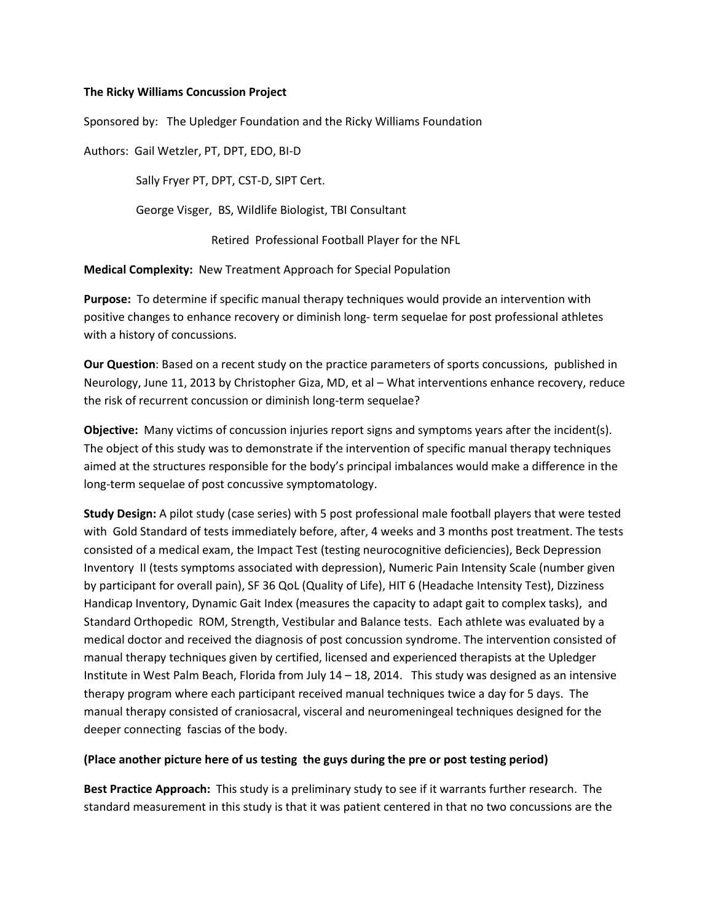## **The Ricky Williams Concussion Project**

Sponsored by: The Upledger Foundation and the Ricky Williams Foundation

Authors: Gail Wetzler, PT, DPT, EDO, BI-D

Sally Fryer PT, DPT, CST-D, SIPT Cert.

George Visger, BS, Wildlife Biologist, TBI Consultant

Retired Professional Football Player for the NFL

**Medical Complexity:** New Treatment Approach for Special Population

**Purpose:** To determine if specific manual therapy techniques would provide an intervention with positive changes to enhance recovery or diminish long- term sequelae for post professional athletes with a history of concussions.

**Our Question**: Based on a recent study on the practice parameters of sports concussions, published in Neurology, June 11, 2013 by Christopher Giza, MD, et al – What interventions enhance recovery, reduce the risk of recurrent concussion or diminish long-term sequelae?

**Objective:** Many victims of concussion injuries report signs and symptoms years after the incident(s). The object of this study was to demonstrate if the intervention of specific manual therapy techniques aimed at the structures responsible for the body's principal imbalances would make a difference in the long-term sequelae of post concussive symptomatology.

**Study Design:** A pilot study (case series) with 5 post professional male football players that were tested with Gold Standard of tests immediately before, after, 4 weeks and 3 months post treatment. The tests consisted of a medical exam, the Impact Test (testing neurocognitive deficiencies), Beck Depression Inventory II (tests symptoms associated with depression), Numeric Pain Intensity Scale (number given by participant for overall pain), SF 36 QoL (Quality of Life), HIT 6 (Headache Intensity Test), Dizziness Handicap Inventory, Dynamic Gait Index (measures the capacity to adapt gait to complex tasks), and Standard Orthopedic ROM, Strength, Vestibular and Balance tests. Each athlete was evaluated by a medical doctor and received the diagnosis of post concussion syndrome. The intervention consisted of manual therapy techniques given by certified, licensed and experienced therapists at the Upledger Institute in West Palm Beach, Florida from July 14 – 18, 2014. This study was designed as an intensive therapy program where each participant received manual techniques twice a day for 5 days. The manual therapy consisted of craniosacral, visceral and neuromeningeal techniques designed for the deeper connecting fascias of the body.

## **(Place another picture here of us testing the guys during the pre or post testing period)**

**Best Practice Approach:** This study is a preliminary study to see if it warrants further research. The standard measurement in this study is that it was patient centered in that no two concussions are the